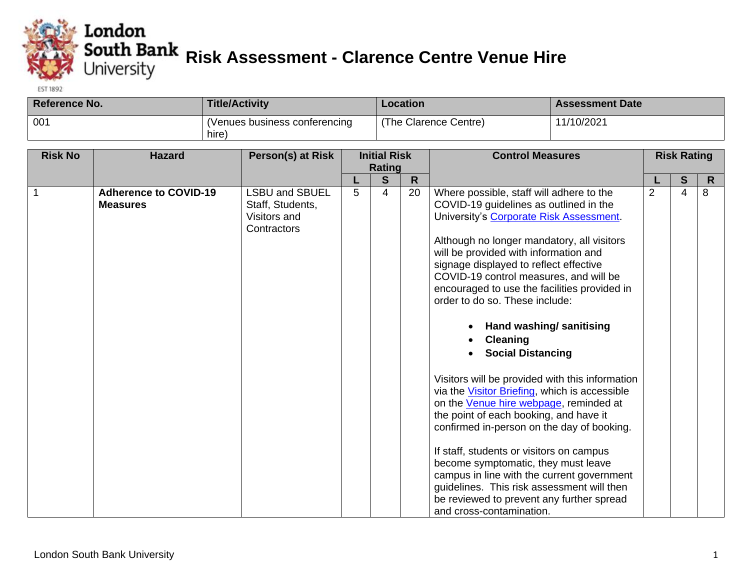

## **Example 15**<br> **Risk Assessment - Clarence Centre Venue Hire**<br>
University

**EST 1892** 

| Reference No. | <b>Title/Activity</b>                  | Location              | <b>Assessment Date</b> |
|---------------|----------------------------------------|-----------------------|------------------------|
| 001           | (Venues business conferencing<br>hire) | (The Clarence Centre) | 11/10/2021             |

| <b>Risk No</b> | <b>Hazard</b>                                   | Person(s) at Risk                                                        |   | <b>Initial Risk</b>           |                    | <b>Control Measures</b>                                                                                                                                                                                                                                                                                                                                                                                                                                                                                                                                                                                                                                                                                                                                                                                                                                                                                                                              | <b>Risk Rating</b> |        |                   |
|----------------|-------------------------------------------------|--------------------------------------------------------------------------|---|-------------------------------|--------------------|------------------------------------------------------------------------------------------------------------------------------------------------------------------------------------------------------------------------------------------------------------------------------------------------------------------------------------------------------------------------------------------------------------------------------------------------------------------------------------------------------------------------------------------------------------------------------------------------------------------------------------------------------------------------------------------------------------------------------------------------------------------------------------------------------------------------------------------------------------------------------------------------------------------------------------------------------|--------------------|--------|-------------------|
|                |                                                 |                                                                          |   |                               |                    |                                                                                                                                                                                                                                                                                                                                                                                                                                                                                                                                                                                                                                                                                                                                                                                                                                                                                                                                                      |                    |        |                   |
| 1              | <b>Adherence to COVID-19</b><br><b>Measures</b> | <b>LSBU and SBUEL</b><br>Staff, Students,<br>Visitors and<br>Contractors | 5 | Rating<br>S<br>$\overline{4}$ | $\mathsf{R}$<br>20 | Where possible, staff will adhere to the<br>COVID-19 guidelines as outlined in the<br>University's Corporate Risk Assessment.<br>Although no longer mandatory, all visitors<br>will be provided with information and<br>signage displayed to reflect effective<br>COVID-19 control measures, and will be<br>encouraged to use the facilities provided in<br>order to do so. These include:<br>Hand washing/ sanitising<br>$\bullet$<br><b>Cleaning</b><br><b>Social Distancing</b><br>Visitors will be provided with this information<br>via the Visitor Briefing, which is accessible<br>on the Venue hire webpage, reminded at<br>the point of each booking, and have it<br>confirmed in-person on the day of booking.<br>If staff, students or visitors on campus<br>become symptomatic, they must leave<br>campus in line with the current government<br>guidelines. This risk assessment will then<br>be reviewed to prevent any further spread | 2                  | S<br>4 | $\mathsf{R}$<br>8 |
|                |                                                 |                                                                          |   |                               |                    | and cross-contamination.                                                                                                                                                                                                                                                                                                                                                                                                                                                                                                                                                                                                                                                                                                                                                                                                                                                                                                                             |                    |        |                   |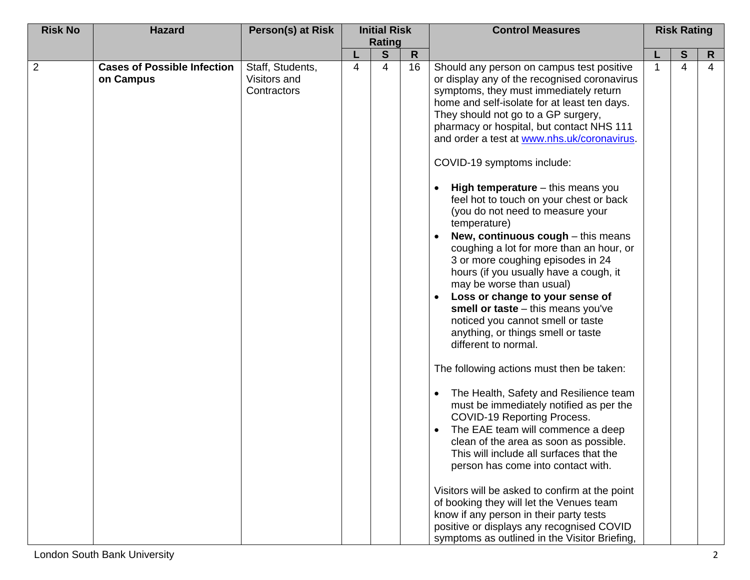| <b>Risk No</b> | <b>Hazard</b>                                   | Person(s) at Risk                               |   | <b>Initial Risk</b> |              | <b>Control Measures</b>                                                                                                                                                                                                                                                                                                                                                                                                                                                                                                                                                                                                                                                                                                                                                                                                                                                                                                                                                                                                                                                                                                                                                                                                                                                                                                                                                                                                                                                        | <b>Risk Rating</b> |   |    |
|----------------|-------------------------------------------------|-------------------------------------------------|---|---------------------|--------------|--------------------------------------------------------------------------------------------------------------------------------------------------------------------------------------------------------------------------------------------------------------------------------------------------------------------------------------------------------------------------------------------------------------------------------------------------------------------------------------------------------------------------------------------------------------------------------------------------------------------------------------------------------------------------------------------------------------------------------------------------------------------------------------------------------------------------------------------------------------------------------------------------------------------------------------------------------------------------------------------------------------------------------------------------------------------------------------------------------------------------------------------------------------------------------------------------------------------------------------------------------------------------------------------------------------------------------------------------------------------------------------------------------------------------------------------------------------------------------|--------------------|---|----|
|                |                                                 |                                                 |   | <b>Rating</b>       |              |                                                                                                                                                                                                                                                                                                                                                                                                                                                                                                                                                                                                                                                                                                                                                                                                                                                                                                                                                                                                                                                                                                                                                                                                                                                                                                                                                                                                                                                                                |                    |   |    |
|                |                                                 |                                                 |   | S                   | $\mathsf{R}$ |                                                                                                                                                                                                                                                                                                                                                                                                                                                                                                                                                                                                                                                                                                                                                                                                                                                                                                                                                                                                                                                                                                                                                                                                                                                                                                                                                                                                                                                                                |                    | S | R. |
| $\overline{2}$ | <b>Cases of Possible Infection</b><br>on Campus | Staff, Students,<br>Visitors and<br>Contractors | 4 | 4                   | 16           | Should any person on campus test positive<br>or display any of the recognised coronavirus<br>symptoms, they must immediately return<br>home and self-isolate for at least ten days.<br>They should not go to a GP surgery,<br>pharmacy or hospital, but contact NHS 111<br>and order a test at www.nhs.uk/coronavirus.<br>COVID-19 symptoms include:<br><b>High temperature</b> $-$ this means you<br>$\bullet$<br>feel hot to touch on your chest or back<br>(you do not need to measure your<br>temperature)<br>New, continuous cough - this means<br>coughing a lot for more than an hour, or<br>3 or more coughing episodes in 24<br>hours (if you usually have a cough, it<br>may be worse than usual)<br>Loss or change to your sense of<br>$\bullet$<br>smell or taste $-$ this means you've<br>noticed you cannot smell or taste<br>anything, or things smell or taste<br>different to normal.<br>The following actions must then be taken:<br>The Health, Safety and Resilience team<br>must be immediately notified as per the<br>COVID-19 Reporting Process.<br>The EAE team will commence a deep<br>clean of the area as soon as possible.<br>This will include all surfaces that the<br>person has come into contact with.<br>Visitors will be asked to confirm at the point<br>of booking they will let the Venues team<br>know if any person in their party tests<br>positive or displays any recognised COVID<br>symptoms as outlined in the Visitor Briefing, |                    | 4 | 4  |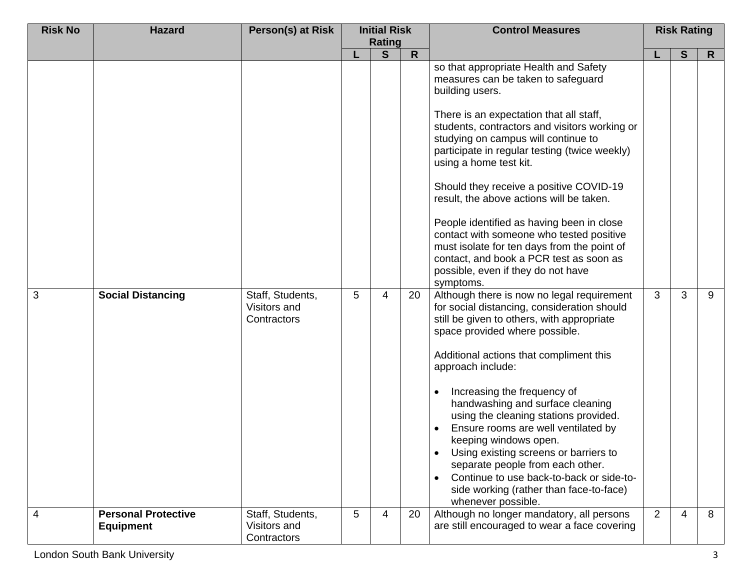| <b>Risk No</b> | <b>Hazard</b>                                  | Person(s) at Risk                               |   | <b>Initial Risk</b><br><b>Rating</b> |              | <b>Control Measures</b>                                                                                                                                                                                                                                                                                                                                                                                                                                                                                                                                                                                                                                                                 |   | <b>Risk Rating</b> |    |
|----------------|------------------------------------------------|-------------------------------------------------|---|--------------------------------------|--------------|-----------------------------------------------------------------------------------------------------------------------------------------------------------------------------------------------------------------------------------------------------------------------------------------------------------------------------------------------------------------------------------------------------------------------------------------------------------------------------------------------------------------------------------------------------------------------------------------------------------------------------------------------------------------------------------------|---|--------------------|----|
|                |                                                |                                                 |   | S                                    | $\mathsf{R}$ |                                                                                                                                                                                                                                                                                                                                                                                                                                                                                                                                                                                                                                                                                         |   | S                  | R. |
| $\overline{3}$ | <b>Social Distancing</b>                       | Staff, Students,                                | 5 | 4                                    | 20           | so that appropriate Health and Safety<br>measures can be taken to safeguard<br>building users.<br>There is an expectation that all staff,<br>students, contractors and visitors working or<br>studying on campus will continue to<br>participate in regular testing (twice weekly)<br>using a home test kit.<br>Should they receive a positive COVID-19<br>result, the above actions will be taken.<br>People identified as having been in close<br>contact with someone who tested positive<br>must isolate for ten days from the point of<br>contact, and book a PCR test as soon as<br>possible, even if they do not have<br>symptoms.<br>Although there is now no legal requirement | 3 | 3                  | 9  |
|                |                                                | Visitors and<br>Contractors                     |   |                                      |              | for social distancing, consideration should<br>still be given to others, with appropriate<br>space provided where possible.<br>Additional actions that compliment this<br>approach include:<br>Increasing the frequency of<br>$\bullet$<br>handwashing and surface cleaning<br>using the cleaning stations provided.<br>Ensure rooms are well ventilated by<br>keeping windows open.<br>Using existing screens or barriers to<br>$\bullet$<br>separate people from each other.<br>Continue to use back-to-back or side-to-<br>side working (rather than face-to-face)<br>whenever possible.                                                                                             |   |                    |    |
| $\overline{4}$ | <b>Personal Protective</b><br><b>Equipment</b> | Staff, Students,<br>Visitors and<br>Contractors | 5 | $\overline{4}$                       | 20           | Although no longer mandatory, all persons<br>are still encouraged to wear a face covering                                                                                                                                                                                                                                                                                                                                                                                                                                                                                                                                                                                               | 2 | 4                  | 8  |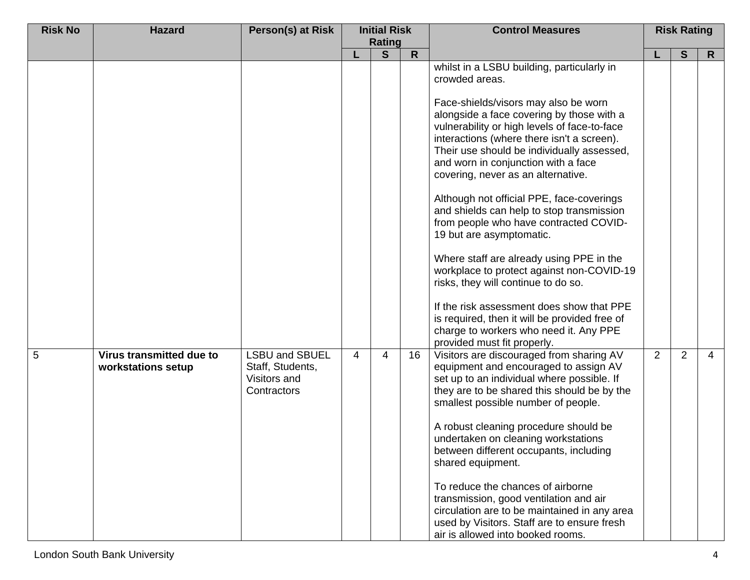| <b>Risk No</b> | <b>Hazard</b>                                  | Person(s) at Risk                                                        |   | <b>Initial Risk</b> |              | <b>Control Measures</b>                                                                                                                                                                                                                                                                                                                                                                                                                                                                                                                                                                 |   | <b>Risk Rating</b> |                |
|----------------|------------------------------------------------|--------------------------------------------------------------------------|---|---------------------|--------------|-----------------------------------------------------------------------------------------------------------------------------------------------------------------------------------------------------------------------------------------------------------------------------------------------------------------------------------------------------------------------------------------------------------------------------------------------------------------------------------------------------------------------------------------------------------------------------------------|---|--------------------|----------------|
|                |                                                |                                                                          |   | <b>Rating</b>       |              |                                                                                                                                                                                                                                                                                                                                                                                                                                                                                                                                                                                         |   |                    |                |
|                |                                                |                                                                          |   | S                   | $\mathsf{R}$ | whilst in a LSBU building, particularly in<br>crowded areas.<br>Face-shields/visors may also be worn<br>alongside a face covering by those with a<br>vulnerability or high levels of face-to-face<br>interactions (where there isn't a screen).<br>Their use should be individually assessed,<br>and worn in conjunction with a face<br>covering, never as an alternative.                                                                                                                                                                                                              |   | S                  | R.             |
|                |                                                |                                                                          |   |                     |              | Although not official PPE, face-coverings<br>and shields can help to stop transmission<br>from people who have contracted COVID-<br>19 but are asymptomatic.<br>Where staff are already using PPE in the<br>workplace to protect against non-COVID-19<br>risks, they will continue to do so.<br>If the risk assessment does show that PPE<br>is required, then it will be provided free of<br>charge to workers who need it. Any PPE<br>provided must fit properly.                                                                                                                     |   |                    |                |
| 5              | Virus transmitted due to<br>workstations setup | <b>LSBU and SBUEL</b><br>Staff, Students,<br>Visitors and<br>Contractors | 4 | 4                   | 16           | Visitors are discouraged from sharing AV<br>equipment and encouraged to assign AV<br>set up to an individual where possible. If<br>they are to be shared this should be by the<br>smallest possible number of people.<br>A robust cleaning procedure should be<br>undertaken on cleaning workstations<br>between different occupants, including<br>shared equipment.<br>To reduce the chances of airborne<br>transmission, good ventilation and air<br>circulation are to be maintained in any area<br>used by Visitors. Staff are to ensure fresh<br>air is allowed into booked rooms. | 2 | $\overline{2}$     | $\overline{4}$ |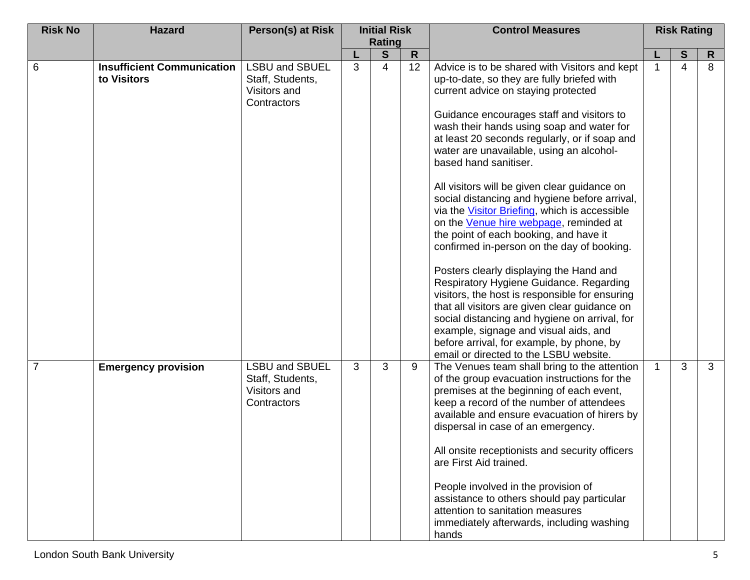| <b>Risk No</b> | <b>Hazard</b>                                    | Person(s) at Risk                                                        |              | <b>Initial Risk</b>         |    | <b>Control Measures</b>                                                                                                                                                                                                                                                                                                                                                |   | <b>Risk Rating</b> |              |
|----------------|--------------------------------------------------|--------------------------------------------------------------------------|--------------|-----------------------------|----|------------------------------------------------------------------------------------------------------------------------------------------------------------------------------------------------------------------------------------------------------------------------------------------------------------------------------------------------------------------------|---|--------------------|--------------|
|                |                                                  |                                                                          |              | Rating<br>S<br>$\mathsf{R}$ |    |                                                                                                                                                                                                                                                                                                                                                                        |   | S                  |              |
| 6              | <b>Insufficient Communication</b><br>to Visitors | <b>LSBU and SBUEL</b><br>Staff, Students,                                | 3            | 4                           | 12 | Advice is to be shared with Visitors and kept<br>up-to-date, so they are fully briefed with                                                                                                                                                                                                                                                                            |   | $\overline{4}$     | R<br>8       |
|                |                                                  | Visitors and<br>Contractors                                              |              |                             |    | current advice on staying protected<br>Guidance encourages staff and visitors to<br>wash their hands using soap and water for<br>at least 20 seconds regularly, or if soap and<br>water are unavailable, using an alcohol-<br>based hand sanitiser.                                                                                                                    |   |                    |              |
|                |                                                  |                                                                          |              |                             |    | All visitors will be given clear guidance on<br>social distancing and hygiene before arrival,<br>via the Visitor Briefing, which is accessible<br>on the Venue hire webpage, reminded at<br>the point of each booking, and have it<br>confirmed in-person on the day of booking.                                                                                       |   |                    |              |
|                |                                                  |                                                                          |              |                             |    | Posters clearly displaying the Hand and<br>Respiratory Hygiene Guidance. Regarding<br>visitors, the host is responsible for ensuring<br>that all visitors are given clear guidance on<br>social distancing and hygiene on arrival, for<br>example, signage and visual aids, and<br>before arrival, for example, by phone, by<br>email or directed to the LSBU website. |   |                    |              |
| 7              | <b>Emergency provision</b>                       | <b>LSBU and SBUEL</b><br>Staff, Students,<br>Visitors and<br>Contractors | $\mathbf{3}$ | 3                           | 9  | The Venues team shall bring to the attention<br>of the group evacuation instructions for the<br>premises at the beginning of each event,<br>keep a record of the number of attendees<br>available and ensure evacuation of hirers by<br>dispersal in case of an emergency.                                                                                             | 1 | 3                  | $\mathbf{3}$ |
|                |                                                  |                                                                          |              |                             |    | All onsite receptionists and security officers<br>are First Aid trained.<br>People involved in the provision of<br>assistance to others should pay particular<br>attention to sanitation measures<br>immediately afterwards, including washing<br>hands                                                                                                                |   |                    |              |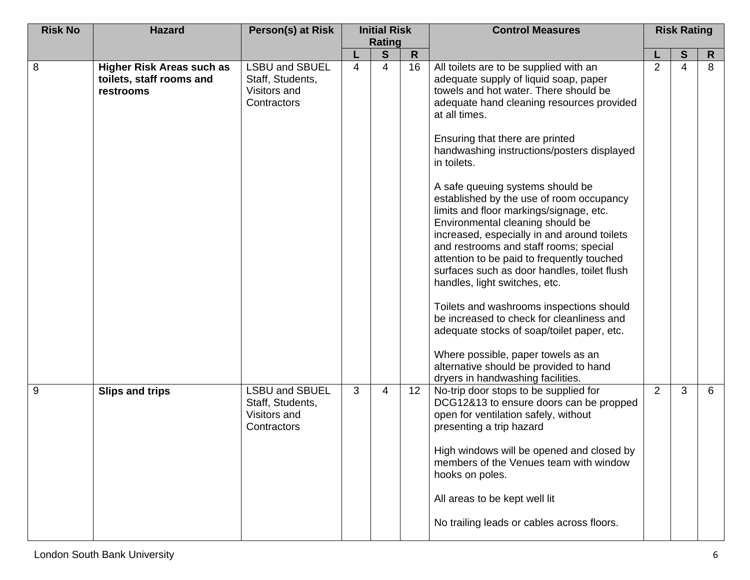| <b>Risk No</b> | <b>Hazard</b>                         | Person(s) at Risk                                                 | <b>Initial Risk</b> |                                    |    | <b>Control Measures</b>                                                                                                                                                                                                                                                                                                                                                            | <b>Risk Rating</b> |        |                   |
|----------------|---------------------------------------|-------------------------------------------------------------------|---------------------|------------------------------------|----|------------------------------------------------------------------------------------------------------------------------------------------------------------------------------------------------------------------------------------------------------------------------------------------------------------------------------------------------------------------------------------|--------------------|--------|-------------------|
|                |                                       |                                                                   |                     | <b>Rating</b><br>S<br>$\mathsf{R}$ |    |                                                                                                                                                                                                                                                                                                                                                                                    |                    |        |                   |
| 8              | <b>Higher Risk Areas such as</b>      | <b>LSBU and SBUEL</b>                                             | 4                   | 4                                  | 16 | All toilets are to be supplied with an                                                                                                                                                                                                                                                                                                                                             | $\overline{2}$     | S<br>4 | $\mathsf{R}$<br>8 |
|                | toilets, staff rooms and<br>restrooms | Staff, Students,<br>Visitors and                                  |                     |                                    |    | adequate supply of liquid soap, paper<br>towels and hot water. There should be                                                                                                                                                                                                                                                                                                     |                    |        |                   |
|                |                                       | Contractors                                                       |                     |                                    |    | adequate hand cleaning resources provided<br>at all times.                                                                                                                                                                                                                                                                                                                         |                    |        |                   |
|                |                                       |                                                                   |                     |                                    |    | Ensuring that there are printed<br>handwashing instructions/posters displayed<br>in toilets.                                                                                                                                                                                                                                                                                       |                    |        |                   |
|                |                                       |                                                                   |                     |                                    |    | A safe queuing systems should be<br>established by the use of room occupancy<br>limits and floor markings/signage, etc.<br>Environmental cleaning should be<br>increased, especially in and around toilets<br>and restrooms and staff rooms; special<br>attention to be paid to frequently touched<br>surfaces such as door handles, toilet flush<br>handles, light switches, etc. |                    |        |                   |
|                |                                       |                                                                   |                     |                                    |    | Toilets and washrooms inspections should<br>be increased to check for cleanliness and<br>adequate stocks of soap/toilet paper, etc.                                                                                                                                                                                                                                                |                    |        |                   |
|                |                                       |                                                                   |                     |                                    |    | Where possible, paper towels as an<br>alternative should be provided to hand<br>dryers in handwashing facilities.                                                                                                                                                                                                                                                                  |                    |        |                   |
| 9              | <b>Slips and trips</b>                | LSBU and SBUEL<br>Staff, Students,<br>Visitors and<br>Contractors | 3                   | 4                                  | 12 | No-trip door stops to be supplied for<br>DCG12&13 to ensure doors can be propped<br>open for ventilation safely, without<br>presenting a trip hazard                                                                                                                                                                                                                               | $\overline{2}$     | 3      | 6                 |
|                |                                       |                                                                   |                     |                                    |    | High windows will be opened and closed by<br>members of the Venues team with window<br>hooks on poles.                                                                                                                                                                                                                                                                             |                    |        |                   |
|                |                                       |                                                                   |                     |                                    |    | All areas to be kept well lit                                                                                                                                                                                                                                                                                                                                                      |                    |        |                   |
|                |                                       |                                                                   |                     |                                    |    | No trailing leads or cables across floors.                                                                                                                                                                                                                                                                                                                                         |                    |        |                   |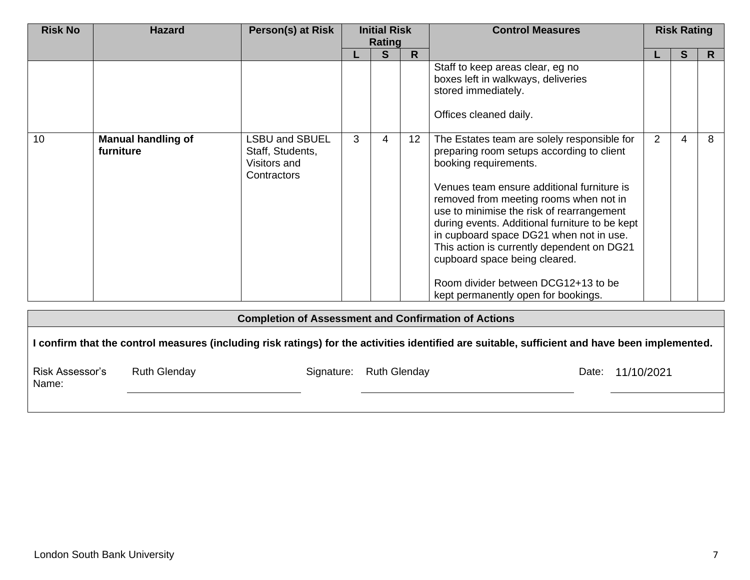| <b>Risk No</b> | <b>Hazard</b>                          | Person(s) at Risk                                                        |   | <b>Initial Risk</b><br>Rating |                 | <b>Control Measures</b>                                                                                                                                                                                                                                                                                                                                                                                                                                                                                          | <b>Risk Rating</b> |   |    |
|----------------|----------------------------------------|--------------------------------------------------------------------------|---|-------------------------------|-----------------|------------------------------------------------------------------------------------------------------------------------------------------------------------------------------------------------------------------------------------------------------------------------------------------------------------------------------------------------------------------------------------------------------------------------------------------------------------------------------------------------------------------|--------------------|---|----|
|                |                                        |                                                                          |   | S                             | R.              |                                                                                                                                                                                                                                                                                                                                                                                                                                                                                                                  |                    | S | R. |
|                |                                        |                                                                          |   |                               |                 | Staff to keep areas clear, eg no<br>boxes left in walkways, deliveries<br>stored immediately.<br>Offices cleaned daily.                                                                                                                                                                                                                                                                                                                                                                                          |                    |   |    |
| 10             | <b>Manual handling of</b><br>furniture | <b>LSBU and SBUEL</b><br>Staff, Students,<br>Visitors and<br>Contractors | 3 | 4                             | 12 <sup>2</sup> | The Estates team are solely responsible for<br>preparing room setups according to client<br>booking requirements.<br>Venues team ensure additional furniture is<br>removed from meeting rooms when not in<br>use to minimise the risk of rearrangement<br>during events. Additional furniture to be kept<br>in cupboard space DG21 when not in use.<br>This action is currently dependent on DG21<br>cupboard space being cleared.<br>Room divider between DCG12+13 to be<br>kept permanently open for bookings. | 2                  | 4 | 8  |

| <b>Completion of Assessment and Confirmation of Actions</b>                                                                                    |                     |            |                     |       |            |  |  |  |  |  |  |
|------------------------------------------------------------------------------------------------------------------------------------------------|---------------------|------------|---------------------|-------|------------|--|--|--|--|--|--|
| l confirm that the control measures (including risk ratings) for the activities identified are suitable, sufficient and have been implemented. |                     |            |                     |       |            |  |  |  |  |  |  |
| <b>Risk Assessor's</b><br>Name:                                                                                                                | <b>Ruth Glenday</b> | Signature: | <b>Ruth Glenday</b> | Date: | 11/10/2021 |  |  |  |  |  |  |
|                                                                                                                                                |                     |            |                     |       |            |  |  |  |  |  |  |